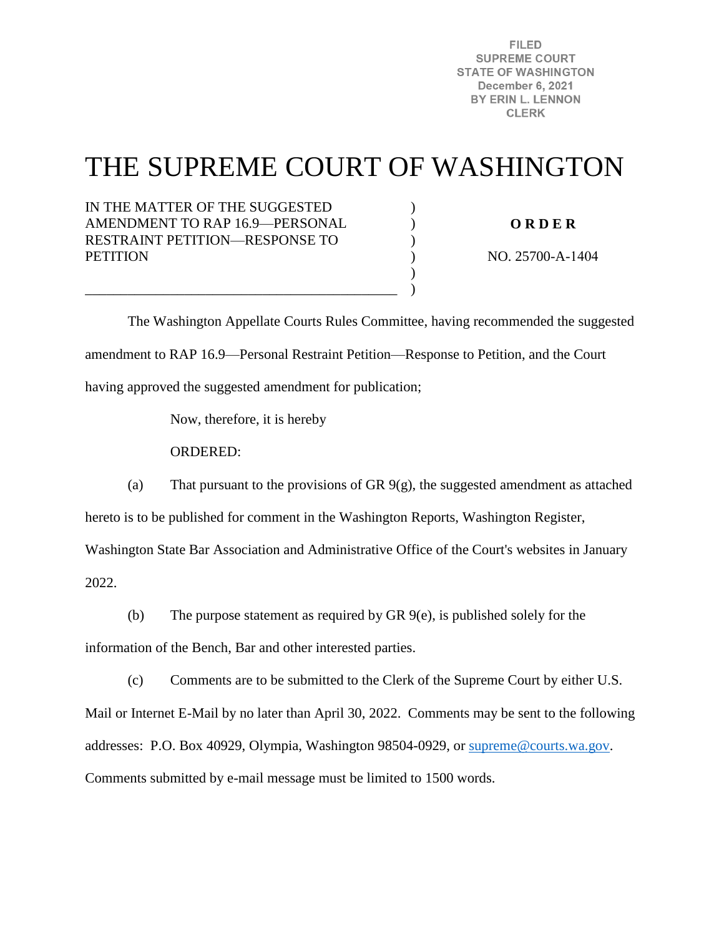**FILED SUPREME COURT STATE OF WASHINGTON December 6, 2021** BY ERIN L. LENNON **CLERK** 

# THE SUPREME COURT OF WASHINGTON

) ) )  $\mathcal{L}$ ) )

IN THE MATTER OF THE SUGGESTED AMENDMENT TO RAP 16.9—PERSONAL RESTRAINT PETITION—RESPONSE TO **PETITION** 

**O R D E R** 

NO. 25700-A-1404

 The Washington Appellate Courts Rules Committee, having recommended the suggested amendment to RAP 16.9—Personal Restraint Petition—Response to Petition, and the Court having approved the suggested amendment for publication;

Now, therefore, it is hereby

\_\_\_\_\_\_\_\_\_\_\_\_\_\_\_\_\_\_\_\_\_\_\_\_\_\_\_\_\_\_\_\_\_\_\_\_\_\_\_\_\_\_\_\_

ORDERED:

(a) That pursuant to the provisions of GR 9(g), the suggested amendment as attached

hereto is to be published for comment in the Washington Reports, Washington Register,

Washington State Bar Association and Administrative Office of the Court's websites in January

2022.

(b) The purpose statement as required by GR 9(e), is published solely for the

information of the Bench, Bar and other interested parties.

(c) Comments are to be submitted to the Clerk of the Supreme Court by either U.S.

Mail or Internet E-Mail by no later than April 30, 2022. Comments may be sent to the following addresses: P.O. Box 40929, Olympia, Washington 98504-0929, or [supreme@courts.wa.gov.](mailto:supreme@courts.wa.gov) Comments submitted by e-mail message must be limited to 1500 words.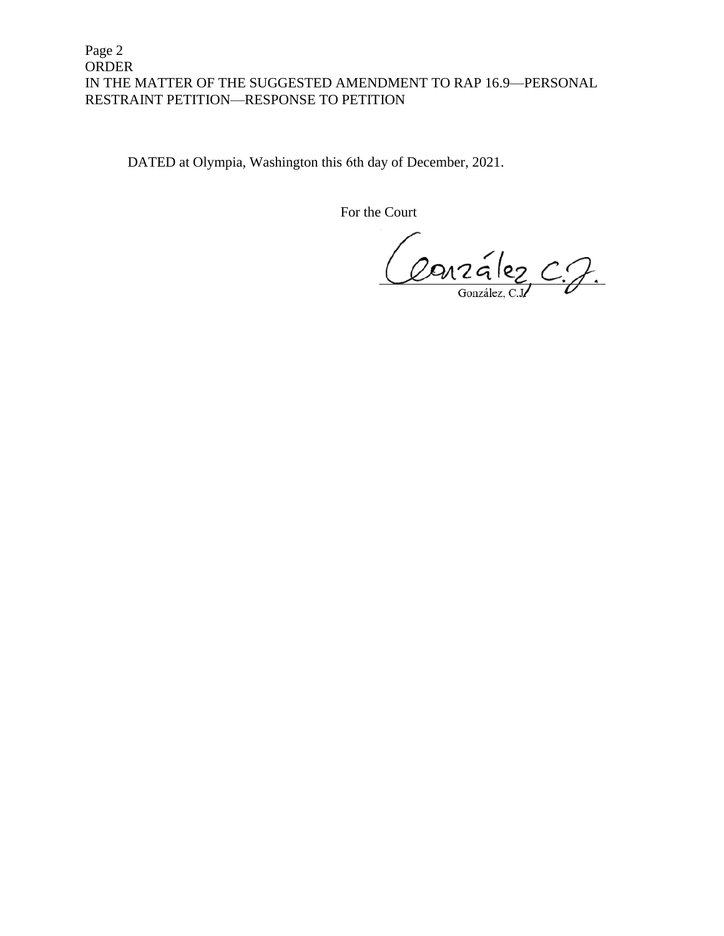# Page 2 ORDER IN THE MATTER OF THE SUGGESTED AMENDMENT TO RAP 16.9—PERSONAL RESTRAINT PETITION—RESPONSE TO PETITION

DATED at Olympia, Washington this 6th day of December, 2021.

For the Court

Couzalez C.J.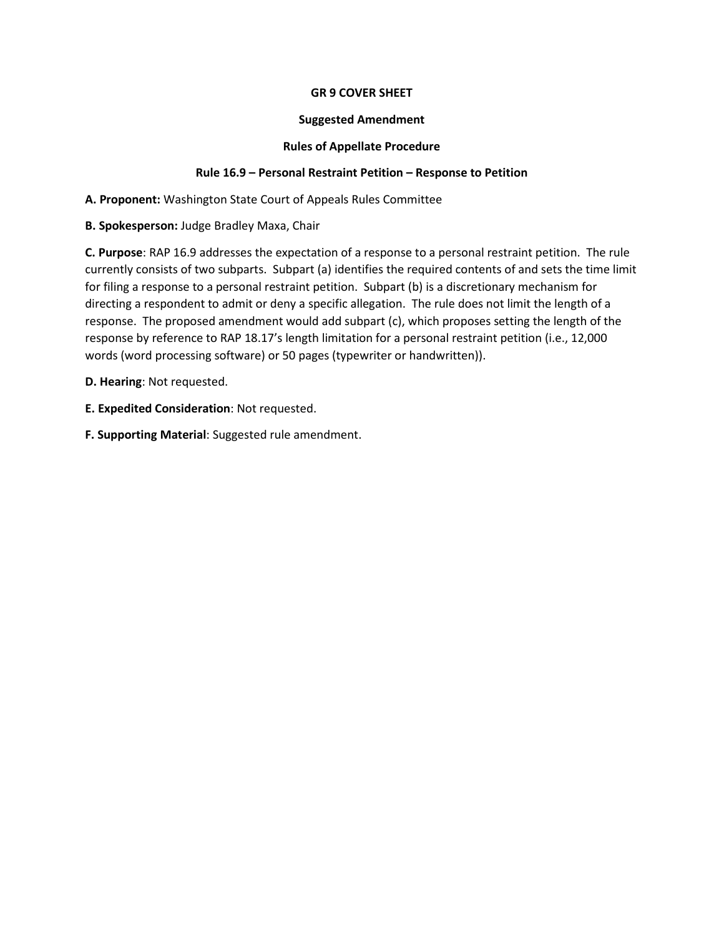## **GR 9 COVER SHEET**

#### **Suggested Amendment**

### **Rules of Appellate Procedure**

## **Rule 16.9 – Personal Restraint Petition – Response to Petition**

**A. Proponent:** Washington State Court of Appeals Rules Committee

**B. Spokesperson:** Judge Bradley Maxa, Chair

**C. Purpose**: RAP 16.9 addresses the expectation of a response to a personal restraint petition. The rule currently consists of two subparts. Subpart (a) identifies the required contents of and sets the time limit for filing a response to a personal restraint petition. Subpart (b) is a discretionary mechanism for directing a respondent to admit or deny a specific allegation. The rule does not limit the length of a response. The proposed amendment would add subpart (c), which proposes setting the length of the response by reference to RAP 18.17's length limitation for a personal restraint petition (i.e., 12,000 words (word processing software) or 50 pages (typewriter or handwritten)).

**D. Hearing**: Not requested.

- **E. Expedited Consideration**: Not requested.
- **F. Supporting Material**: Suggested rule amendment.